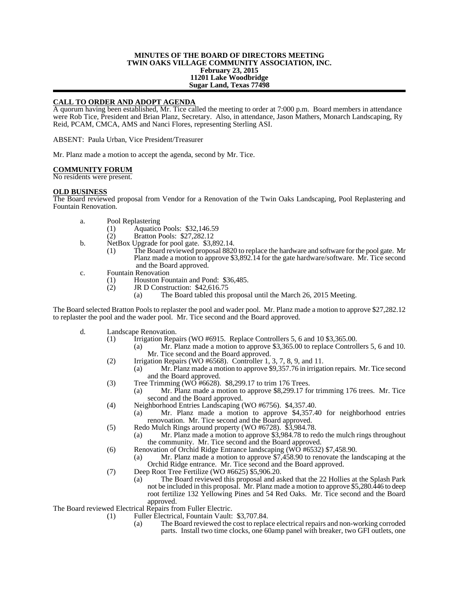## **MINUTES OF THE BOARD OF DIRECTORS MEETING TWIN OAKS VILLAGE COMMUNITY ASSOCIATION, INC. February 23, 2015 11201 Lake Woodbridge Sugar Land, Texas 77498**

# **CALL TO ORDER AND ADOPT AGENDA**

A quorum having been established, Mr. Tice called the meeting to order at 7:000 p.m. Board members in attendance were Rob Tice, President and Brian Planz, Secretary. Also, in attendance, Jason Mathers, Monarch Landscaping, Ry Reid, PCAM, CMCA, AMS and Nanci Flores, representing Sterling ASI.

ABSENT: Paula Urban, Vice President/Treasurer

Mr. Planz made a motion to accept the agenda, second by Mr. Tice.

### **COMMUNITY FORUM**

No residents were present.

### **OLD BUSINESS**

The Board reviewed proposal from Vendor for a Renovation of the Twin Oaks Landscaping, Pool Replastering and Fountain Renovation.

- a. Pool Replastering
	- (1) Aquatico Pools: \$32,146.59
	- (2) Bratton Pools: \$27,282.12
- b. NetBox Upgrade for pool gate. \$3,892.14.
	- (1) The Board reviewed proposal 8820 to replace the hardware and software for the pool gate. Mr Planz made a motion to approve \$3,892.14 for the gate hardware/software. Mr. Tice second and the Board approved.
- c. Fountain Renovation
	- (1) Houston Fountain and Pond: \$36,485.<br>
	(2) JR D Construction: \$42,616.75
		- JR D Construction: \$42,616.75<br>(a) The Board tabled this p
			- The Board tabled this proposal until the March 26, 2015 Meeting.

The Board selected Bratton Pools to replaster the pool and wader pool. Mr. Planz made a motion to approve \$27,282.12 to replaster the pool and the wader pool. Mr. Tice second and the Board approved.

- d. Landscape Renovation.
	- (1) Irrigation Repairs (WO #6915. Replace Controllers 5, 6 and 10 \$3,365.00.
		- (a) Mr. Planz made a motion to approve \$3,365.00 to replace Controllers 5, 6 and 10. Mr. Tice second and the Board approved.
	- (2) Irrigation Repairs (WO #6568). Controller 1, 3, 7, 8, 9, and 11.
		- (a) Mr. Planz made a motion to approve \$9,357.76 in irrigation repairs. Mr. Tice second and the Board approved.
	- (3) Tree Trimming (WO  $#6628$ ). \$8,299.17 to trim 176 Trees.
		- (a) Mr. Planz made a motion to approve \$8,299.17 for trimming 176 trees. Mr. Tice second and the Board approved.
	- (4) Neighborhood Entries Landscaping (WO #6756). \$4,357.40.
		- (a) Mr. Planz made a motion to approve \$4,357.40 for neighborhood entries renovoation. Mr. Tice second and the Board approved.
	- (5) Redo Mulch Rings around property (WO #6728). \$3,984.78.
		- (a) Mr. Planz made a motion to approve \$3,984.78 to redo the mulch rings throughout the community. Mr. Tice second and the Board approved.
	- (6) Renovation of Orchid Ridge Entrance landscaping  $(W\ddot{O})$  #6532) \$7,458.90.
		- (a) Mr. Planz made a motion to approve \$7,458.90 to renovate the landscaping at the Orchid Ridge entrance. Mr. Tice second and the Board approved.
	- (7) Deep Root Tree Fertilize (WO #6625) \$5,906.20.
		- (a) The Board reviewed this proposal and asked that the 22 Hollies at the Splash Park not be included in this proposal. Mr. Planz made a motion to approve \$5,280.446 to deep root fertilize 132 Yellowing Pines and 54 Red Oaks. Mr. Tice second and the Board approved.

The Board reviewed Electrical Repairs from Fuller Electric.

- (1) Fuller Electrical, Fountain Vault: \$3,707.84.
	- (a) The Board reviewed the cost to replace electrical repairs and non-working corroded parts. Install two time clocks, one 60amp panel with breaker, two GFI outlets, one